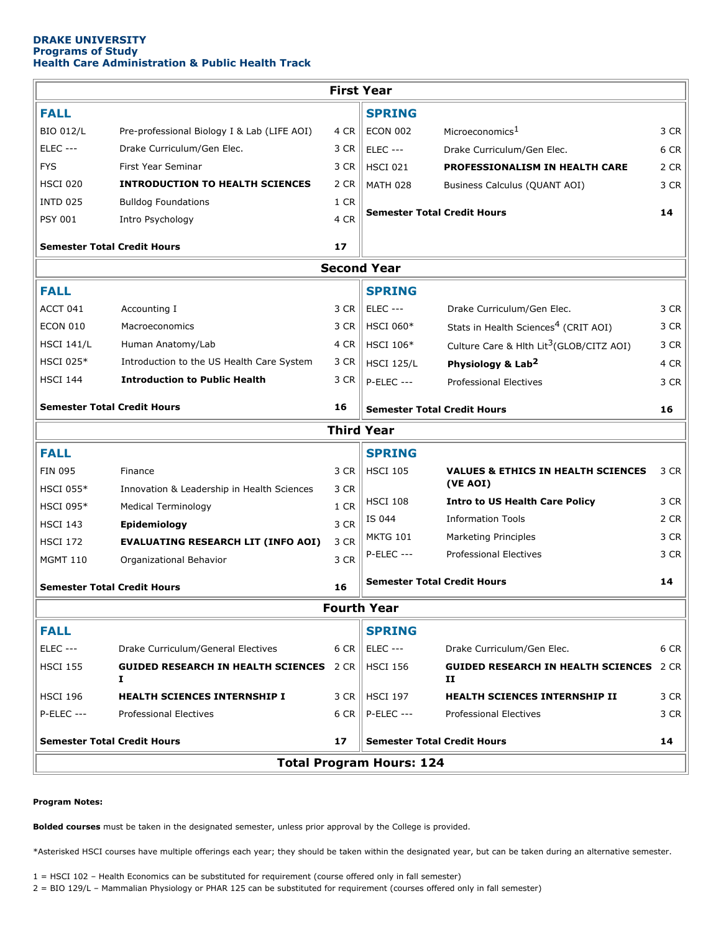## **DRAKE UNIVERSITY Programs of Study Health Care Administration & Public Health Track**

| <b>First Year</b>                        |                                                      |                                    |                                    |                                                      |      |
|------------------------------------------|------------------------------------------------------|------------------------------------|------------------------------------|------------------------------------------------------|------|
| <b>FALL</b>                              |                                                      |                                    | <b>SPRING</b>                      |                                                      |      |
| <b>BIO 012/L</b>                         | Pre-professional Biology I & Lab (LIFE AOI)          | 4 CR                               | <b>ECON 002</b>                    | Microeconomics <sup>1</sup>                          | 3 CR |
| <b>ELEC ---</b>                          | Drake Curriculum/Gen Elec.                           | 3 CR                               | <b>ELEC ---</b>                    | Drake Curriculum/Gen Elec.                           | 6 CR |
| <b>FYS</b>                               | First Year Seminar                                   | 3 CR                               | <b>HSCI 021</b>                    | PROFESSIONALISM IN HEALTH CARE                       | 2 CR |
| <b>HSCI 020</b>                          | <b>INTRODUCTION TO HEALTH SCIENCES</b>               | 2 CR                               | <b>MATH 028</b>                    | Business Calculus (QUANT AOI)                        | 3 CR |
| <b>INTD 025</b>                          | <b>Bulldog Foundations</b>                           | 1 CR                               | <b>Semester Total Credit Hours</b> |                                                      |      |
| <b>PSY 001</b>                           | Intro Psychology                                     | 4 CR                               |                                    |                                                      | 14   |
| <b>Semester Total Credit Hours</b>       |                                                      | 17                                 |                                    |                                                      |      |
| <b>Second Year</b>                       |                                                      |                                    |                                    |                                                      |      |
| <b>FALL</b>                              |                                                      |                                    | <b>SPRING</b>                      |                                                      |      |
| ACCT 041                                 | Accounting I                                         | 3 CR                               | <b>ELEC ---</b>                    | Drake Curriculum/Gen Elec.                           | 3 CR |
| <b>ECON 010</b>                          | Macroeconomics                                       | 3 CR                               | <b>HSCI 060*</b>                   | Stats in Health Sciences <sup>4</sup> (CRIT AOI)     | 3 CR |
| <b>HSCI 141/L</b>                        | Human Anatomy/Lab                                    | 4 CR                               | <b>HSCI 106*</b>                   | Culture Care & Hlth Lit <sup>3</sup> (GLOB/CITZ AOI) | 3 CR |
| <b>HSCI 025*</b>                         | Introduction to the US Health Care System            | 3 CR                               | <b>HSCI 125/L</b>                  | Physiology & Lab <sup>2</sup>                        | 4 CR |
| <b>HSCI 144</b>                          | <b>Introduction to Public Health</b>                 | 3 CR                               | $P-ELEC$ ---                       | <b>Professional Electives</b>                        | 3 CR |
| <b>Semester Total Credit Hours</b>       |                                                      | 16                                 | <b>Semester Total Credit Hours</b> |                                                      | 16   |
| <b>Third Year</b>                        |                                                      |                                    |                                    |                                                      |      |
| <b>FALL</b><br><b>SPRING</b>             |                                                      |                                    |                                    |                                                      |      |
| <b>FIN 095</b>                           | Finance                                              | 3 CR                               | <b>HSCI 105</b>                    | <b>VALUES &amp; ETHICS IN HEALTH SCIENCES</b>        | 3 CR |
| <b>HSCI 055*</b>                         | Innovation & Leadership in Health Sciences           | 3 CR                               |                                    | (VE AOI)                                             |      |
| <b>HSCI 095*</b>                         | <b>Medical Terminology</b>                           | 1 CR                               | <b>HSCI 108</b>                    | <b>Intro to US Health Care Policy</b>                | 3 CR |
| <b>HSCI 143</b>                          | Epidemiology                                         | 3 CR                               | IS 044                             | <b>Information Tools</b>                             | 2 CR |
| <b>HSCI 172</b>                          | <b>EVALUATING RESEARCH LIT (INFO AOI)</b>            | 3 CR                               | <b>MKTG 101</b>                    | Marketing Principles                                 | 3 CR |
| <b>MGMT 110</b>                          | Organizational Behavior                              | 3 CR                               | <b>P-ELEC ---</b>                  | Professional Electives                               | 3 CR |
| <b>Semester Total Credit Hours</b><br>16 |                                                      | <b>Semester Total Credit Hours</b> |                                    | 14                                                   |      |
| <b>Fourth Year</b>                       |                                                      |                                    |                                    |                                                      |      |
| <b>FALL</b>                              |                                                      |                                    | <b>SPRING</b>                      |                                                      |      |
| <b>ELEC ---</b>                          | Drake Curriculum/General Electives                   | 6 CR                               | ELEC ---                           | Drake Curriculum/Gen Elec.                           | 6 CR |
| <b>HSCI 155</b>                          | <b>GUIDED RESEARCH IN HEALTH SCIENCES</b> 2 CR<br>Ι. |                                    | <b>HSCI 156</b>                    | <b>GUIDED RESEARCH IN HEALTH SCIENCES</b><br>п       | 2 CR |
| <b>HSCI 196</b>                          | <b>HEALTH SCIENCES INTERNSHIP I</b>                  | 3 CR                               | HSCI 197                           | HEALTH SCIENCES INTERNSHIP II                        | 3 CR |
| <b>P-ELEC ---</b>                        | <b>Professional Electives</b>                        | 6 CR                               | <b>P-ELEC ---</b>                  | <b>Professional Electives</b>                        | 3 CR |
| <b>Semester Total Credit Hours</b>       |                                                      | 17                                 | <b>Semester Total Credit Hours</b> |                                                      | 14   |
| <b>Total Program Hours: 124</b>          |                                                      |                                    |                                    |                                                      |      |
|                                          |                                                      |                                    |                                    |                                                      |      |

## **Program Notes:**

**Bolded courses** must be taken in the designated semester, unless prior approval by the College is provided.

\*Asterisked HSCI courses have multiple offerings each year; they should be taken within the designated year, but can be taken during an alternative semester.

1 = HSCI 102 – Health Economics can be substituted for requirement (course offered only in fall semester)

2 = BIO 129/L – Mammalian Physiology or PHAR 125 can be substituted for requirement (courses offered only in fall semester)